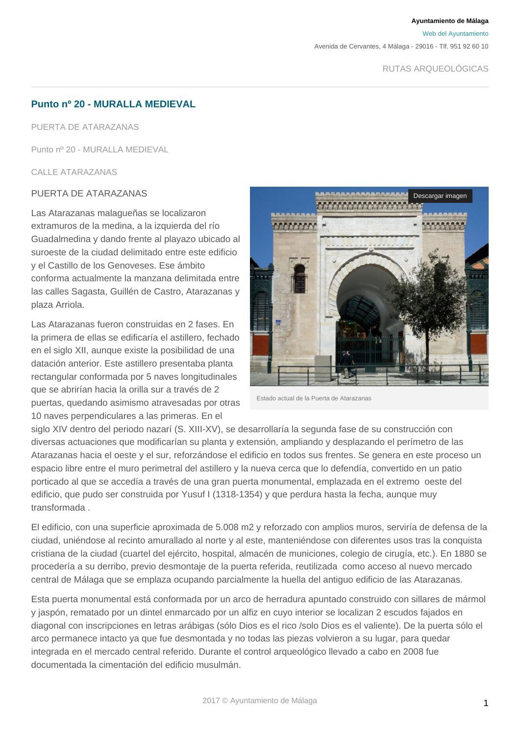**Ayuntamiento de Málaga**

[Web del Ayuntamiento](http://www.malaga.eu)

Avenida de Cervantes, 4 Málaga - 29016 - Tlf. 951 92 60 10

# **Punto nº 20 - MURALLA MEDIEVAL**

PUERTA DE ATARAZANAS

Punto nº 20 - MURALLA MEDIEVAL

CALLE ATARAZANAS

## PUERTA DE ATARAZANAS

Las Atarazanas malagueñas se localizaron extramuros de la medina, a la izquierda del río Guadalmedina y dando frente al playazo ubicado al suroeste de la ciudad delimitado entre este edificio y el Castillo de los Genoveses. Ese ámbito conforma actualmente la manzana delimitada entre las calles Sagasta, Guillén de Castro, Atarazanas y plaza Arriola.

Las Atarazanas fueron construidas en 2 fases. En la primera de ellas se edificaría el astillero, fechado en el siglo XII, aunque existe la posibilidad de una datación anterior. Este astillero presentaba planta rectangular conformada por 5 naves longitudinales que se abrirían hacia la orilla sur a través de 2 puertas, quedando asimismo atravesadas por otras 10 naves perpendiculares a las primeras. En el



Estado actual de la Puerta de Atarazanas

siglo XIV dentro del periodo nazarí (S. XIII-XV), se desarrollaría la segunda fase de su construcción con diversas actuaciones que modificarían su planta y extensión, ampliando y desplazando el perímetro de las Atarazanas hacia el oeste y el sur, reforzándose el edificio en todos sus frentes. Se genera en este proceso un espacio libre entre el muro perimetral del astillero y la nueva cerca que lo defendía, convertido en un patio porticado al que se accedía a través de una gran puerta monumental, emplazada en el extremo oeste del edificio, que pudo ser construida por Yusuf I (1318-1354) y que perdura hasta la fecha, aunque muy transformada .

El edificio, con una superficie aproximada de 5.008 m2 y reforzado con amplios muros, serviría de defensa de la ciudad, uniéndose al recinto amurallado al norte y al este, manteniéndose con diferentes usos tras la conquista cristiana de la ciudad (cuartel del ejército, hospital, almacén de municiones, colegio de cirugía, etc.). En 1880 se procedería a su derribo, previo desmontaje de la puerta referida, reutilizada como acceso al nuevo mercado central de Málaga que se emplaza ocupando parcialmente la huella del antiguo edificio de las Atarazanas.

Esta puerta monumental está conformada por un arco de herradura apuntado construido con sillares de mármol y jaspón, rematado por un dintel enmarcado por un alfiz en cuyo interior se localizan 2 escudos fajados en diagonal con inscripciones en letras arábigas (sólo Dios es el rico /solo Dios es el valiente). De la puerta sólo el arco permanece intacto ya que fue desmontada y no todas las piezas volvieron a su lugar, para quedar integrada en el mercado central referido. Durante el control arqueológico llevado a cabo en 2008 fue documentada la cimentación del edificio musulmán.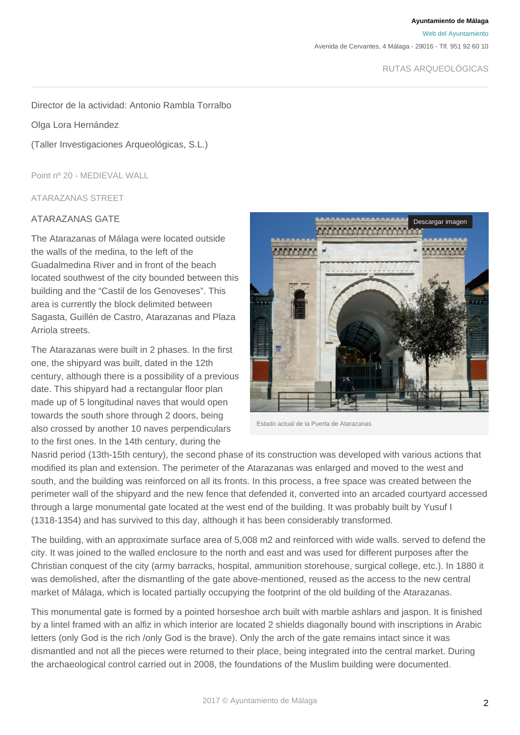**Ayuntamiento de Málaga**

[Web del Ayuntamiento](http://www.malaga.eu)

Avenida de Cervantes, 4 Málaga - 29016 - Tlf. 951 92 60 10

RUTAS ARQUEOLÓGICAS

#### Director de la actividad: Antonio Rambla Torralbo

#### Olga Lora Hernández

(Taller Investigaciones Arqueológicas, S.L.)

Point nº 20 - MEDIEVAL WALL

ATARAZANAS STREET

### ATARAZANAS GATE

The Atarazanas of Málaga were located outside the walls of the medina, to the left of the Guadalmedina River and in front of the beach located southwest of the city bounded between this building and the "Castil de los Genoveses". This area is currently the block delimited between Sagasta, Guillén de Castro, Atarazanas and Plaza Arriola streets.

The Atarazanas were built in 2 phases. In the first one, the shipyard was built, dated in the 12th century, although there is a possibility of a previous date. This shipyard had a rectangular floor plan made up of 5 longitudinal naves that would open towards the south shore through 2 doors, being also crossed by another 10 naves perpendiculars to the first ones. In the 14th century, during the



Estado actual de la Puerta de Atarazanas

Nasrid period (13th-15th century), the second phase of its construction was developed with various actions that modified its plan and extension. The perimeter of the Atarazanas was enlarged and moved to the west and south, and the building was reinforced on all its fronts. In this process, a free space was created between the perimeter wall of the shipyard and the new fence that defended it, converted into an arcaded courtyard accessed through a large monumental gate located at the west end of the building. It was probably built by Yusuf I (1318-1354) and has survived to this day, although it has been considerably transformed.

The building, with an approximate surface area of 5,008 m2 and reinforced with wide walls. served to defend the city. It was joined to the walled enclosure to the north and east and was used for different purposes after the Christian conquest of the city (army barracks, hospital, ammunition storehouse, surgical college, etc.). In 1880 it was demolished, after the dismantling of the gate above-mentioned, reused as the access to the new central market of Málaga, which is located partially occupying the footprint of the old building of the Atarazanas.

This monumental gate is formed by a pointed horseshoe arch built with marble ashlars and jaspon. It is finished by a lintel framed with an alfiz in which interior are located 2 shields diagonally bound with inscriptions in Arabic letters (only God is the rich /only God is the brave). Only the arch of the gate remains intact since it was dismantled and not all the pieces were returned to their place, being integrated into the central market. During the archaeological control carried out in 2008, the foundations of the Muslim building were documented.